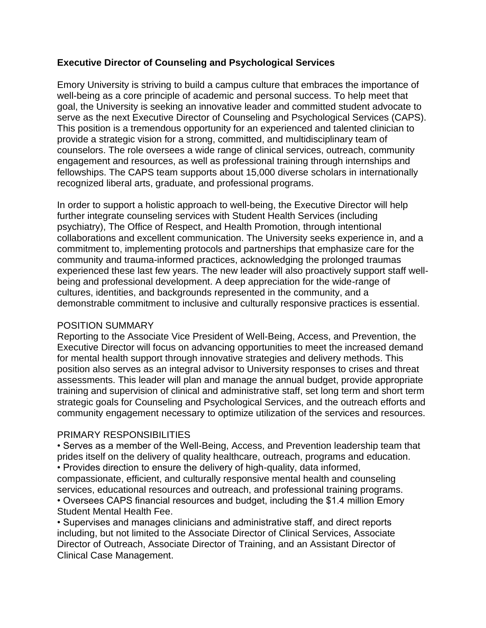### **Executive Director of Counseling and Psychological Services**

Emory University is striving to build a campus culture that embraces the importance of well-being as a core principle of academic and personal success. To help meet that goal, the University is seeking an innovative leader and committed student advocate to serve as the next Executive Director of Counseling and Psychological Services (CAPS). This position is a tremendous opportunity for an experienced and talented clinician to provide a strategic vision for a strong, committed, and multidisciplinary team of counselors. The role oversees a wide range of clinical services, outreach, community engagement and resources, as well as professional training through internships and fellowships. The CAPS team supports about 15,000 diverse scholars in internationally recognized liberal arts, graduate, and professional programs.

In order to support a holistic approach to well-being, the Executive Director will help further integrate counseling services with Student Health Services (including psychiatry), The Office of Respect, and Health Promotion, through intentional collaborations and excellent communication. The University seeks experience in, and a commitment to, implementing protocols and partnerships that emphasize care for the community and trauma-informed practices, acknowledging the prolonged traumas experienced these last few years. The new leader will also proactively support staff wellbeing and professional development. A deep appreciation for the wide-range of cultures, identities, and backgrounds represented in the community, and a demonstrable commitment to inclusive and culturally responsive practices is essential.

#### POSITION SUMMARY

Reporting to the Associate Vice President of Well-Being, Access, and Prevention, the Executive Director will focus on advancing opportunities to meet the increased demand for mental health support through innovative strategies and delivery methods. This position also serves as an integral advisor to University responses to crises and threat assessments. This leader will plan and manage the annual budget, provide appropriate training and supervision of clinical and administrative staff, set long term and short term strategic goals for Counseling and Psychological Services, and the outreach efforts and community engagement necessary to optimize utilization of the services and resources.

#### PRIMARY RESPONSIBILITIES

• Serves as a member of the Well-Being, Access, and Prevention leadership team that prides itself on the delivery of quality healthcare, outreach, programs and education. • Provides direction to ensure the delivery of high-quality, data informed, compassionate, efficient, and culturally responsive mental health and counseling services, educational resources and outreach, and professional training programs. • Oversees CAPS financial resources and budget, including the \$1.4 million Emory Student Mental Health Fee.

• Supervises and manages clinicians and administrative staff, and direct reports including, but not limited to the Associate Director of Clinical Services, Associate Director of Outreach, Associate Director of Training, and an Assistant Director of Clinical Case Management.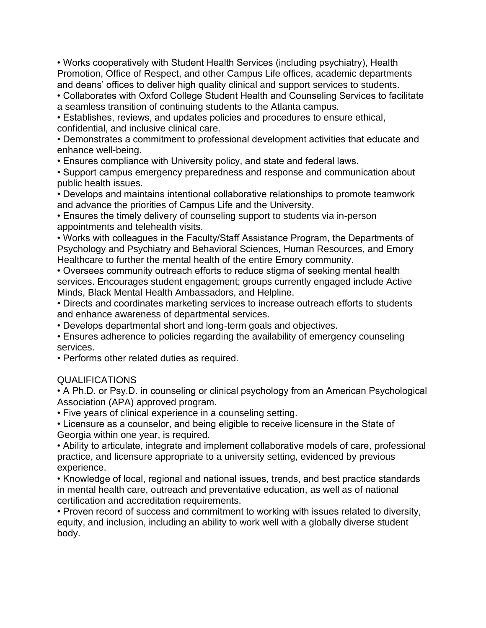• Works cooperatively with Student Health Services (including psychiatry), Health Promotion, Office of Respect, and other Campus Life offices, academic departments and deans' offices to deliver high quality clinical and support services to students.

• Collaborates with Oxford College Student Health and Counseling Services to facilitate a seamless transition of continuing students to the Atlanta campus.

• Establishes, reviews, and updates policies and procedures to ensure ethical, confidential, and inclusive clinical care.

• Demonstrates a commitment to professional development activities that educate and enhance well-being.

• Ensures compliance with University policy, and state and federal laws.

• Support campus emergency preparedness and response and communication about public health issues.

• Develops and maintains intentional collaborative relationships to promote teamwork and advance the priorities of Campus Life and the University.

• Ensures the timely delivery of counseling support to students via in-person appointments and telehealth visits.

• Works with colleagues in the Faculty/Staff Assistance Program, the Departments of Psychology and Psychiatry and Behavioral Sciences, Human Resources, and Emory Healthcare to further the mental health of the entire Emory community.

• Oversees community outreach efforts to reduce stigma of seeking mental health services. Encourages student engagement; groups currently engaged include Active Minds, Black Mental Health Ambassadors, and Helpline.

• Directs and coordinates marketing services to increase outreach efforts to students and enhance awareness of departmental services.

• Develops departmental short and long-term goals and objectives.

• Ensures adherence to policies regarding the availability of emergency counseling services.

• Performs other related duties as required.

# QUALIFICATIONS

• A Ph.D. or Psy.D. in counseling or clinical psychology from an American Psychological Association (APA) approved program.

• Five years of clinical experience in a counseling setting.

• Licensure as a counselor, and being eligible to receive licensure in the State of Georgia within one year, is required.

• Ability to articulate, integrate and implement collaborative models of care, professional practice, and licensure appropriate to a university setting, evidenced by previous experience.

• Knowledge of local, regional and national issues, trends, and best practice standards in mental health care, outreach and preventative education, as well as of national certification and accreditation requirements.

• Proven record of success and commitment to working with issues related to diversity, equity, and inclusion, including an ability to work well with a globally diverse student body.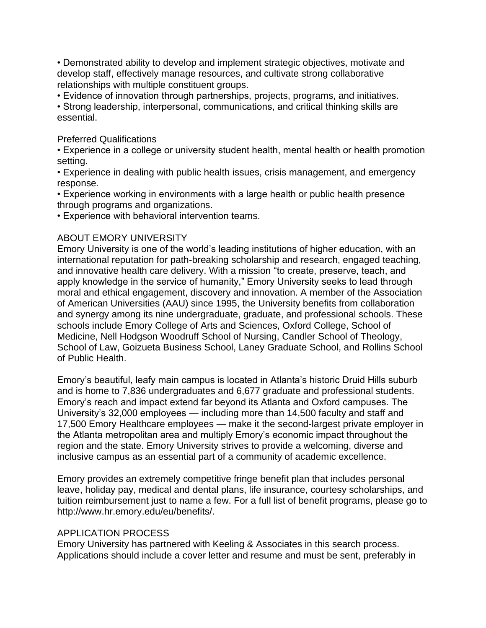• Demonstrated ability to develop and implement strategic objectives, motivate and develop staff, effectively manage resources, and cultivate strong collaborative relationships with multiple constituent groups.

• Evidence of innovation through partnerships, projects, programs, and initiatives.

• Strong leadership, interpersonal, communications, and critical thinking skills are essential.

### Preferred Qualifications

• Experience in a college or university student health, mental health or health promotion setting.

• Experience in dealing with public health issues, crisis management, and emergency response.

• Experience working in environments with a large health or public health presence through programs and organizations.

• Experience with behavioral intervention teams.

# ABOUT EMORY UNIVERSITY

Emory University is one of the world's leading institutions of higher education, with an international reputation for path-breaking scholarship and research, engaged teaching, and innovative health care delivery. With a mission "to create, preserve, teach, and apply knowledge in the service of humanity," Emory University seeks to lead through moral and ethical engagement, discovery and innovation. A member of the Association of American Universities (AAU) since 1995, the University benefits from collaboration and synergy among its nine undergraduate, graduate, and professional schools. These schools include Emory College of Arts and Sciences, Oxford College, School of Medicine, Nell Hodgson Woodruff School of Nursing, Candler School of Theology, School of Law, Goizueta Business School, Laney Graduate School, and Rollins School of Public Health.

Emory's beautiful, leafy main campus is located in Atlanta's historic Druid Hills suburb and is home to 7,836 undergraduates and 6,677 graduate and professional students. Emory's reach and impact extend far beyond its Atlanta and Oxford campuses. The University's 32,000 employees — including more than 14,500 faculty and staff and 17,500 Emory Healthcare employees — make it the second-largest private employer in the Atlanta metropolitan area and multiply Emory's economic impact throughout the region and the state. Emory University strives to provide a welcoming, diverse and inclusive campus as an essential part of a community of academic excellence.

Emory provides an extremely competitive fringe benefit plan that includes personal leave, holiday pay, medical and dental plans, life insurance, courtesy scholarships, and tuition reimbursement just to name a few. For a full list of benefit programs, please go to http://www.hr.emory.edu/eu/benefits/.

# APPLICATION PROCESS

Emory University has partnered with Keeling & Associates in this search process. Applications should include a cover letter and resume and must be sent, preferably in